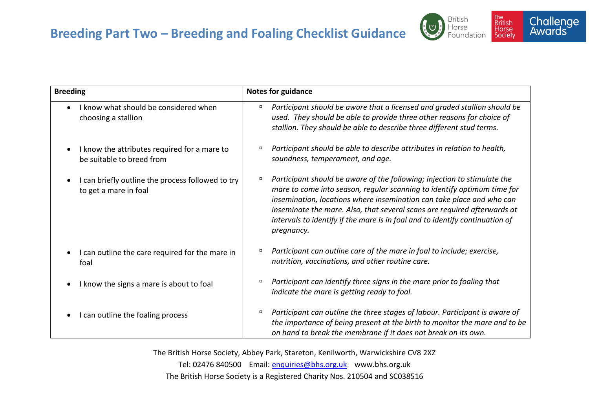



| <b>Breeding</b>                                                                         | <b>Notes for guidance</b>                                                                                                                                                                                                                                                                                                                                                                                   |
|-----------------------------------------------------------------------------------------|-------------------------------------------------------------------------------------------------------------------------------------------------------------------------------------------------------------------------------------------------------------------------------------------------------------------------------------------------------------------------------------------------------------|
| I know what should be considered when<br>$\bullet$<br>choosing a stallion               | Participant should be aware that a licensed and graded stallion should be<br>α<br>used. They should be able to provide three other reasons for choice of<br>stallion. They should be able to describe three different stud terms.                                                                                                                                                                           |
| I know the attributes required for a mare to<br>be suitable to breed from               | Participant should be able to describe attributes in relation to health,<br>$\Box$<br>soundness, temperament, and age.                                                                                                                                                                                                                                                                                      |
| I can briefly outline the process followed to try<br>$\bullet$<br>to get a mare in foal | Participant should be aware of the following; injection to stimulate the<br>о<br>mare to come into season, regular scanning to identify optimum time for<br>insemination, locations where insemination can take place and who can<br>inseminate the mare. Also, that several scans are required afterwards at<br>intervals to identify if the mare is in foal and to identify continuation of<br>pregnancy. |
| I can outline the care required for the mare in<br>foal                                 | Participant can outline care of the mare in foal to include; exercise,<br>$\Box$<br>nutrition, vaccinations, and other routine care.                                                                                                                                                                                                                                                                        |
| I know the signs a mare is about to foal                                                | Participant can identify three signs in the mare prior to foaling that<br>о<br>indicate the mare is getting ready to foal.                                                                                                                                                                                                                                                                                  |
| I can outline the foaling process                                                       | Participant can outline the three stages of labour. Participant is aware of<br>$\Box$<br>the importance of being present at the birth to monitor the mare and to be<br>on hand to break the membrane if it does not break on its own.                                                                                                                                                                       |

The British Horse Society, Abbey Park, Stareton, Kenilworth, Warwickshire CV8 2XZ Tel: 02476 840500 Email: [enquiries@bhs.org.uk](mailto:enquiries@bhs.org.uk) www.bhs.org.uk The British Horse Society is a Registered Charity Nos. 210504 and SC038516